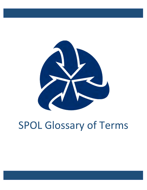

## SPOL Glossary of Terms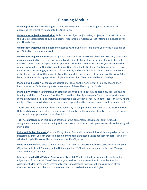## **Planning Module**

**Planning Unit:** Objectives belong to a single Planning Unit. The Unit Manager is responsible for approving the Objective to add it to the Unit's plan.

**Unit/School Objective Description:** Fully state the objective (initiative, project, ect.) in SMART terms, the Objective Description should be Specific; Measureable; Aggressive, yet Attainable; Results-driven; and Time-limited.

**Unit/School Objective Title:** Short and descriptive, the Objective Title allows you to easily distinguish one Objective from another in a list.

**Unit/School Objective Purpose:** Multiple reasons may exist for writing Objectives. You may have been assigned an objective from the institutional or division strategic plan, or perhaps the objective will improve some aspect of departmental operations. The Objective Purpose allows you to identify the primary reason for the Objective. Institutional Goals: Use the Institutional Goals framework to house your institution's strategic, academic, infrastructural, and other high level plans. You can then create institutional context for Objectives by tying them back to one or more of these plans. The View Activity by Institutional Goals page provides a high-level view of all Objectives tied back to each plan.

**Planning Unit Goals:** You can create aspirational goals on the Planning Unit Homepage, and then identify when an Objective supports one or more of these Planning Unit Goals.

**Planning Priorities:** If your institution establishes annual priorities to guide planning, operations, and funding, add them to Planning Priorities. You can then identify when your Objectives support one or more institutional priorities. Objective Types: Populate Objective Types with other "tags" that you might apply to Objectives to indicate other important, reportable attributes of plans. How do you plan to do it?

**Tasks:** Use Tasks to document the actions necessary to complete the Objective. Use the Start and Due Date fields to create a timeline for your project. Identify the Priority (its criticality to the overall project) and periodically update the Status of each Task.

**Task Assignments:** Each Task can be assigned to the person(s) responsible for carrying it out. Assignments made to Users, Planning Units, and Non-User Contacts will generate emails to the assigned individuals.

**Enhanced Budget Request:** Consider if any of your Tasks will require additional funding to be carried out successfully. If so, you can create a detailed, multi-item Enhanced Budget Request for each Task, all of which add up to the overall budget estimate for the Objective.

**Units Impacted:** If you need some assistance from another department to successfully complete your Objective, select that Planning Unit in Units Impacted. SPOL will send an email to the Unit Manager, along with notes from you.

**Intended Results (Unit/School Achievement Targets):** What results do you expect to see from the Objective or from specific Tasks? Describe your performance expectations in Intended Results. Assessment Measures: Use Assessment Measures to describe how you will measure each of your Intended Results. Describe your data sources and data collection methodologies.